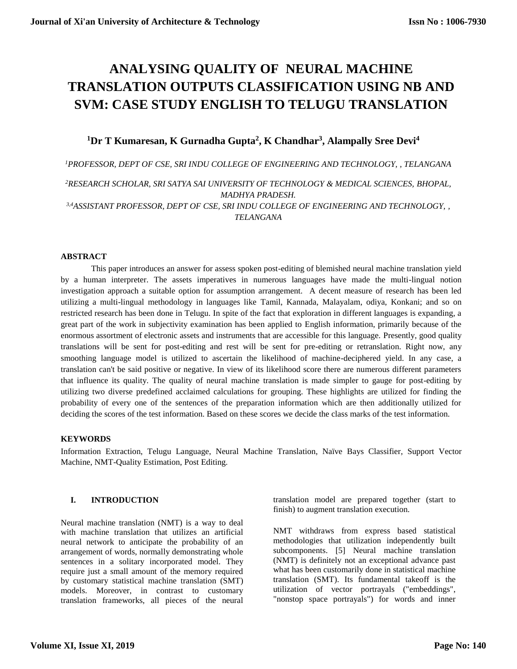# **[ANALYSING QUALITY OF](https://arxiv.org/abs/1309.1129) NEURAL MACHINE TRANSLATION OUTPUTS CLASSIFICATION USING NB AND SVM: CASE STUDY ENGLISH TO TELUGU TRANSLATION**

# **<sup>1</sup>Dr T Kumaresan, K Gurnadha Gupta<sup>2</sup> , K Chandhar<sup>3</sup> , Alampally Sree Devi<sup>4</sup>**

*<sup>1</sup>PROFESSOR, DEPT OF CSE, SRI INDU COLLEGE OF ENGINEERING AND TECHNOLOGY, , TELANGANA*

*<sup>2</sup>RESEARCH SCHOLAR, [SRI SATYA SAI UNIVERSITY OF TECHNOLOGY & MEDICAL SCIENCES,](http://sssutms.co.in/) BHOPAL, [MADHYA PRADESH.](http://sssutms.co.in/)*

*3,4[ASSISTANT PROFESSOR, DEPT OF CSE, SRI INDU COLLEGE OF ENGINEERING AND TECHNOLOGY, ,](http://sssutms.co.in/)  [TELANGANA](http://sssutms.co.in/)*

# **ABSTRACT**

This paper introduces an answer for assess spoken post-editing of blemished neural machine translation yield by a human interpreter. The assets imperatives in numerous languages have made the multi-lingual notion investigation approach a suitable option for assumption arrangement. A decent measure of research has been led utilizing a multi-lingual methodology in languages like Tamil, Kannada, Malayalam, odiya, Konkani; and so on restricted research has been done in Telugu. In spite of the fact that exploration in different languages is expanding, a great part of the work in subjectivity examination has been applied to English information, primarily because of the enormous assortment of electronic assets and instruments that are accessible for this language. Presently, good quality translations will be sent for post-editing and rest will be sent for pre-editing or retranslation. Right now, any smoothing language model is utilized to ascertain the likelihood of machine-deciphered yield. In any case, a translation can't be said positive or negative. In view of its likelihood score there are numerous different parameters that influence its quality. The quality of neural machine translation is made simpler to gauge for post-editing by utilizing two diverse predefined acclaimed calculations for grouping. These highlights are utilized for finding the probability of every one of the sentences of the preparation information which are then additionally utilized for deciding the scores of the test information. Based on these scores we decide the class marks of the test information.

# **KEYWORDS**

Information Extraction, Telugu Language, Neural Machine Translation, Naïve Bays Classifier, Support Vector Machine, NMT-Quality Estimation, Post Editing.

# **I. INTRODUCTION**

Neural machine translation (NMT) is a way to deal with machine translation that utilizes an artificial neural network to anticipate the probability of an arrangement of words, normally demonstrating whole sentences in a solitary incorporated model. They require just a small amount of the memory required by customary statistical machine translation (SMT) models. Moreover, in contrast to customary translation frameworks, all pieces of the neural

translation model are prepared together (start to finish) to augment translation execution.

NMT withdraws from express based statistical methodologies that utilization independently built subcomponents. [5] Neural machine translation (NMT) is definitely not an exceptional advance past what has been customarily done in statistical machine translation (SMT). Its fundamental takeoff is the utilization of vector portrayals ("embeddings", "nonstop space portrayals") for words and inner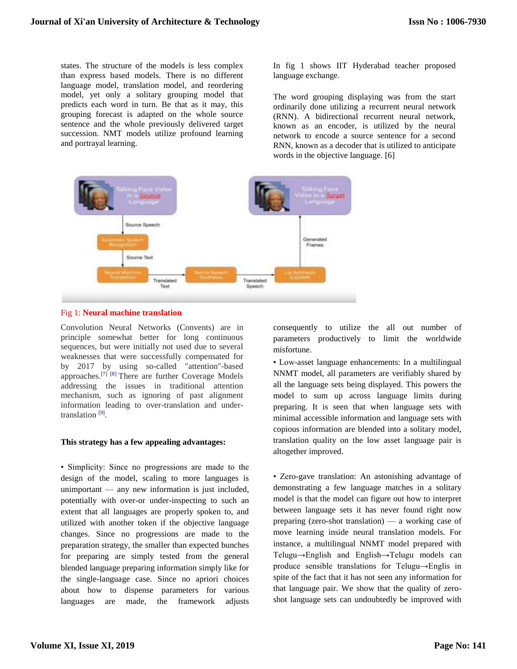states. The structure of the models is less complex than express based models. There is no different language model, translation model, and reordering model, yet only a solitary grouping model that predicts each word in turn. Be that as it may, this grouping forecast is adapted on the whole source sentence and the whole previously delivered target succession. NMT models utilize profound learning and portrayal learning.

In fig 1 shows IIT Hyderabad teacher proposed language exchange.

The word grouping displaying was from the start ordinarily done utilizing a recurrent neural network (RNN). A bidirectional recurrent neural network, known as an encoder, is utilized by the neural network to encode a source sentence for a second RNN, known as a decoder that is utilized to anticipate words in the objective language. [6]





Convolution Neural Networks (Convents) are in principle somewhat better for long continuous sequences, but were initially not used due to several weaknesses that were successfully compensated for by 2017 by using so-called "attention"-based approaches.[\[7\] \[](https://en.wikipedia.org/wiki/Neural_machine_translation#cite_note-attention-7)[8\]](https://en.wikipedia.org/wiki/Neural_machine_translation#cite_note-DeepL-8) There are further Coverage Models addressing the issues in traditional attention mechanism, such as ignoring of past alignment information leading to over-translation and under-translation<sup>[\[9\]](https://en.wikipedia.org/wiki/Neural_machine_translation#cite_note-9)</sup>.

#### **This strategy has a few appealing advantages:**

• Simplicity: Since no progressions are made to the design of the model, scaling to more languages is unimportant — any new information is just included, potentially with over-or under-inspecting to such an extent that all languages are properly spoken to, and utilized with another token if the objective language changes. Since no progressions are made to the preparation strategy, the smaller than expected bunches for preparing are simply tested from the general blended language preparing information simply like for the single-language case. Since no apriori choices about how to dispense parameters for various languages are made, the framework adjusts

consequently to utilize the all out number of parameters productively to limit the worldwide misfortune.

• Low-asset language enhancements: In a multilingual NNMT model, all parameters are verifiably shared by all the language sets being displayed. This powers the model to sum up across language limits during preparing. It is seen that when language sets with minimal accessible information and language sets with copious information are blended into a solitary model, translation quality on the low asset language pair is altogether improved.

• Zero-gave translation: An astonishing advantage of demonstrating a few language matches in a solitary model is that the model can figure out how to interpret between language sets it has never found right now preparing (zero-shot translation) — a working case of move learning inside neural translation models. For instance, a multilingual NNMT model prepared with Telugu→English and English→Telugu models can produce sensible translations for Telugu→Englis in spite of the fact that it has not seen any information for that language pair. We show that the quality of zeroshot language sets can undoubtedly be improved with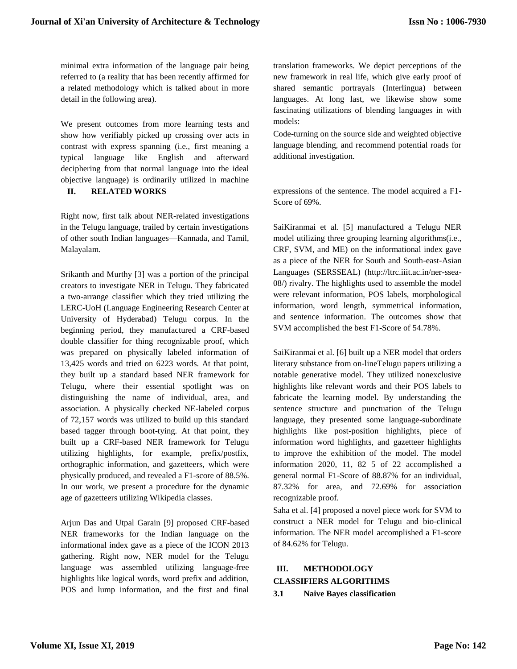minimal extra information of the language pair being referred to (a reality that has been recently affirmed for a related methodology which is talked about in more detail in the following area).

We present outcomes from more learning tests and show how verifiably picked up crossing over acts in contrast with express spanning (i.e., first meaning a typical language like English and afterward deciphering from that normal language into the ideal objective language) is ordinarily utilized in machine **II. RELATED WORKS**

Right now, first talk about NER-related investigations in the Telugu language, trailed by certain investigations of other south Indian languages—Kannada, and Tamil, Malayalam.

Srikanth and Murthy [3] was a portion of the principal creators to investigate NER in Telugu. They fabricated a two-arrange classifier which they tried utilizing the LERC-UoH (Language Engineering Research Center at University of Hyderabad) Telugu corpus. In the beginning period, they manufactured a CRF-based double classifier for thing recognizable proof, which was prepared on physically labeled information of 13,425 words and tried on 6223 words. At that point, they built up a standard based NER framework for Telugu, where their essential spotlight was on distinguishing the name of individual, area, and association. A physically checked NE-labeled corpus of 72,157 words was utilized to build up this standard based tagger through boot-tying. At that point, they built up a CRF-based NER framework for Telugu utilizing highlights, for example, prefix/postfix, orthographic information, and gazetteers, which were physically produced, and revealed a F1-score of 88.5%. In our work, we present a procedure for the dynamic age of gazetteers utilizing Wikipedia classes.

Arjun Das and Utpal Garain [9] proposed CRF-based NER frameworks for the Indian language on the informational index gave as a piece of the ICON 2013 gathering. Right now, NER model for the Telugu language was assembled utilizing language-free highlights like logical words, word prefix and addition, POS and lump information, and the first and final

translation frameworks. We depict perceptions of the new framework in real life, which give early proof of shared semantic portrayals (Interlingua) between languages. At long last, we likewise show some fascinating utilizations of blending languages in with models:

Code-turning on the source side and weighted objective language blending, and recommend potential roads for additional investigation.

expressions of the sentence. The model acquired a F1- Score of 69%.

SaiKiranmai et al. [5] manufactured a Telugu NER model utilizing three grouping learning algorithms(i.e., CRF, SVM, and ME) on the informational index gave as a piece of the NER for South and South-east-Asian Languages (SERSSEAL) (http://ltrc.iiit.ac.in/ner-ssea-08/) rivalry. The highlights used to assemble the model were relevant information, POS labels, morphological information, word length, symmetrical information, and sentence information. The outcomes show that SVM accomplished the best F1-Score of 54.78%.

SaiKiranmai et al. [6] built up a NER model that orders literary substance from on-lineTelugu papers utilizing a notable generative model. They utilized nonexclusive highlights like relevant words and their POS labels to fabricate the learning model. By understanding the sentence structure and punctuation of the Telugu language, they presented some language-subordinate highlights like post-position highlights, piece of information word highlights, and gazetteer highlights to improve the exhibition of the model. The model information 2020, 11, 82 5 of 22 accomplished a general normal F1-Score of 88.87% for an individual, 87.32% for area, and 72.69% for association recognizable proof.

Saha et al. [4] proposed a novel piece work for SVM to construct a NER model for Telugu and bio-clinical information. The NER model accomplished a F1-score of 84.62% for Telugu.

# **III. METHODOLOGY**

**CLASSIFIERS ALGORITHMS** 

**3.1 Naive Bayes classification**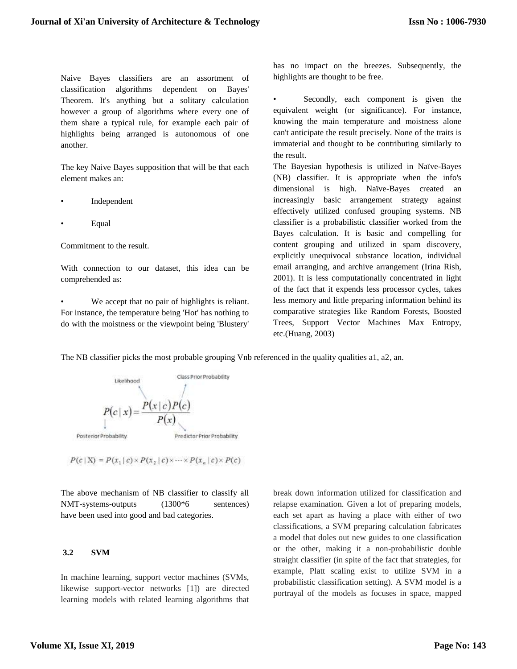Naive Bayes classifiers are an assortment of classification algorithms dependent on Bayes' Theorem. It's anything but a solitary calculation however a group of algorithms where every one of them share a typical rule, for example each pair of highlights being arranged is autonomous of one another.

The key Naive Bayes supposition that will be that each element makes an:

- **Independent**
- Equal

Commitment to the result.

With connection to our dataset, this idea can be comprehended as:

We accept that no pair of highlights is reliant. For instance, the temperature being 'Hot' has nothing to do with the moistness or the viewpoint being 'Blustery' has no impact on the breezes. Subsequently, the highlights are thought to be free.

Secondly, each component is given the equivalent weight (or significance). For instance, knowing the main temperature and moistness alone can't anticipate the result precisely. None of the traits is immaterial and thought to be contributing similarly to the result.

The Bayesian hypothesis is utilized in Naïve-Bayes (NB) classifier. It is appropriate when the info's dimensional is high. Naïve-Bayes created an increasingly basic arrangement strategy against effectively utilized confused grouping systems. NB classifier is a probabilistic classifier worked from the Bayes calculation. It is basic and compelling for content grouping and utilized in spam discovery, explicitly unequivocal substance location, individual email arranging, and archive arrangement (Irina Rish, 2001). It is less computationally concentrated in light of the fact that it expends less processor cycles, takes less memory and little preparing information behind its comparative strategies like Random Forests, Boosted Trees, Support Vector Machines Max Entropy, etc.(Huang, 2003)

The NB classifier picks the most probable grouping Vnb referenced in the quality qualities a1, a2, an.



 $P(c | X) = P(x_1 | c) \times P(x_2 | c) \times \cdots \times P(x_n | c) \times P(c)$ 

The above mechanism of NB classifier to classify all NMT-systems-outputs (1300<sup>\*</sup>6 sentences) have been used into good and bad categories.

# **3.2 SVM**

In machine learning, support vector machines (SVMs, likewise support-vector networks [1]) are directed learning models with related learning algorithms that

break down information utilized for classification and relapse examination. Given a lot of preparing models, each set apart as having a place with either of two classifications, a SVM preparing calculation fabricates a model that doles out new guides to one classification or the other, making it a non-probabilistic double straight classifier (in spite of the fact that strategies, for example, Platt scaling exist to utilize SVM in a probabilistic classification setting). A SVM model is a portrayal of the models as focuses in space, mapped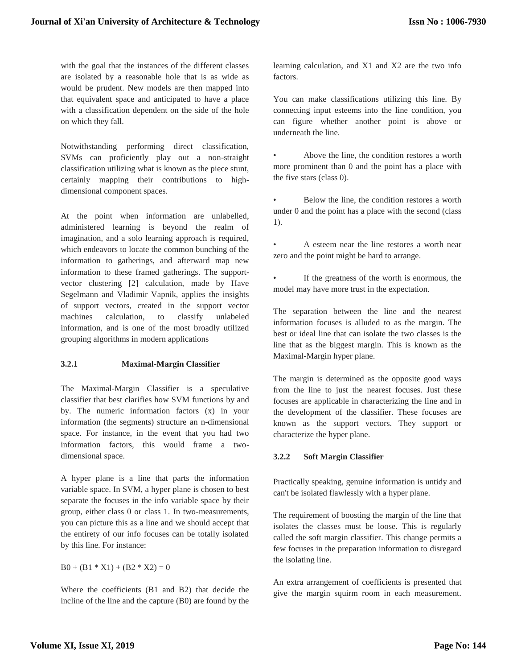with the goal that the instances of the different classes are isolated by a reasonable hole that is as wide as would be prudent. New models are then mapped into that equivalent space and anticipated to have a place with a classification dependent on the side of the hole on which they fall.

Notwithstanding performing direct classification, SVMs can proficiently play out a non-straight classification utilizing what is known as the piece stunt, certainly mapping their contributions to highdimensional component spaces.

At the point when information are unlabelled, administered learning is beyond the realm of imagination, and a solo learning approach is required, which endeavors to locate the common bunching of the information to gatherings, and afterward map new information to these framed gatherings. The supportvector clustering [2] calculation, made by Have Segelmann and Vladimir Vapnik, applies the insights of support vectors, created in the support vector machines calculation, to classify unlabeled information, and is one of the most broadly utilized grouping algorithms in modern applications

# **3.2.1 Maximal-Margin Classifier**

The Maximal-Margin Classifier is a speculative classifier that best clarifies how SVM functions by and by. The numeric information factors (x) in your information (the segments) structure an n-dimensional space. For instance, in the event that you had two information factors, this would frame a twodimensional space.

A hyper plane is a line that parts the information variable space. In SVM, a hyper plane is chosen to best separate the focuses in the info variable space by their group, either class 0 or class 1. In two-measurements, you can picture this as a line and we should accept that the entirety of our info focuses can be totally isolated by this line. For instance:

# $B0 + (B1 * X1) + (B2 * X2) = 0$

Where the coefficients (B1 and B2) that decide the incline of the line and the capture (B0) are found by the learning calculation, and X1 and X2 are the two info factors.

You can make classifications utilizing this line. By connecting input esteems into the line condition, you can figure whether another point is above or underneath the line.

• Above the line, the condition restores a worth more prominent than 0 and the point has a place with the five stars (class 0).

Below the line, the condition restores a worth under 0 and the point has a place with the second (class 1).

• A esteem near the line restores a worth near zero and the point might be hard to arrange.

If the greatness of the worth is enormous, the model may have more trust in the expectation.

The separation between the line and the nearest information focuses is alluded to as the margin. The best or ideal line that can isolate the two classes is the line that as the biggest margin. This is known as the Maximal-Margin hyper plane.

The margin is determined as the opposite good ways from the line to just the nearest focuses. Just these focuses are applicable in characterizing the line and in the development of the classifier. These focuses are known as the support vectors. They support or characterize the hyper plane.

# **3.2.2 Soft Margin Classifier**

Practically speaking, genuine information is untidy and can't be isolated flawlessly with a hyper plane.

The requirement of boosting the margin of the line that isolates the classes must be loose. This is regularly called the soft margin classifier. This change permits a few focuses in the preparation information to disregard the isolating line.

An extra arrangement of coefficients is presented that give the margin squirm room in each measurement.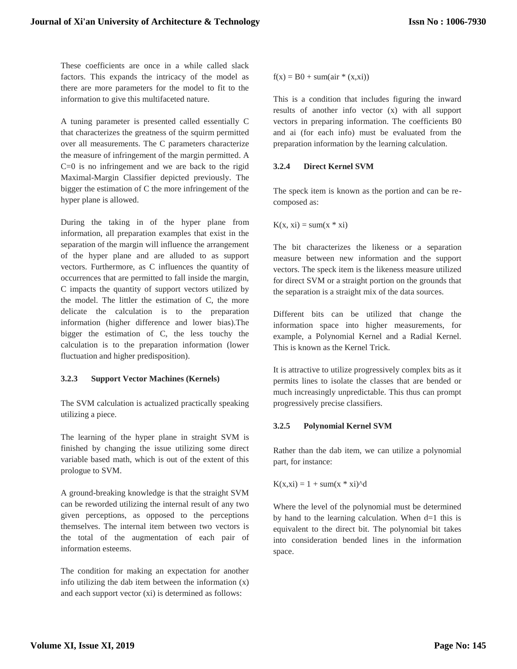These coefficients are once in a while called slack factors. This expands the intricacy of the model as there are more parameters for the model to fit to the information to give this multifaceted nature.

A tuning parameter is presented called essentially C that characterizes the greatness of the squirm permitted over all measurements. The C parameters characterize the measure of infringement of the margin permitted. A C=0 is no infringement and we are back to the rigid Maximal-Margin Classifier depicted previously. The bigger the estimation of C the more infringement of the hyper plane is allowed.

During the taking in of the hyper plane from information, all preparation examples that exist in the separation of the margin will influence the arrangement of the hyper plane and are alluded to as support vectors. Furthermore, as C influences the quantity of occurrences that are permitted to fall inside the margin, C impacts the quantity of support vectors utilized by the model. The littler the estimation of C, the more delicate the calculation is to the preparation information (higher difference and lower bias).The bigger the estimation of C, the less touchy the calculation is to the preparation information (lower fluctuation and higher predisposition).

# **3.2.3 Support Vector Machines (Kernels)**

The SVM calculation is actualized practically speaking utilizing a piece.

The learning of the hyper plane in straight SVM is finished by changing the issue utilizing some direct variable based math, which is out of the extent of this prologue to SVM.

A ground-breaking knowledge is that the straight SVM can be reworded utilizing the internal result of any two given perceptions, as opposed to the perceptions themselves. The internal item between two vectors is the total of the augmentation of each pair of information esteems.

The condition for making an expectation for another info utilizing the dab item between the information (x) and each support vector (xi) is determined as follows:

 $f(x) = B0 + \text{sum}(air * (x, xi))$ 

This is a condition that includes figuring the inward results of another info vector (x) with all support vectors in preparing information. The coefficients B0 and ai (for each info) must be evaluated from the preparation information by the learning calculation.

# **3.2.4 Direct Kernel SVM**

The speck item is known as the portion and can be recomposed as:

 $K(x, xi) = sum(x * xi)$ 

The bit characterizes the likeness or a separation measure between new information and the support vectors. The speck item is the likeness measure utilized for direct SVM or a straight portion on the grounds that the separation is a straight mix of the data sources.

Different bits can be utilized that change the information space into higher measurements, for example, a Polynomial Kernel and a Radial Kernel. This is known as the Kernel Trick.

It is attractive to utilize progressively complex bits as it permits lines to isolate the classes that are bended or much increasingly unpredictable. This thus can prompt progressively precise classifiers.

# **3.2.5 Polynomial Kernel SVM**

Rather than the dab item, we can utilize a polynomial part, for instance:

 $K(x, xi) = 1 + sum(x * xi)^{d}$ 

Where the level of the polynomial must be determined by hand to the learning calculation. When d=1 this is equivalent to the direct bit. The polynomial bit takes into consideration bended lines in the information space.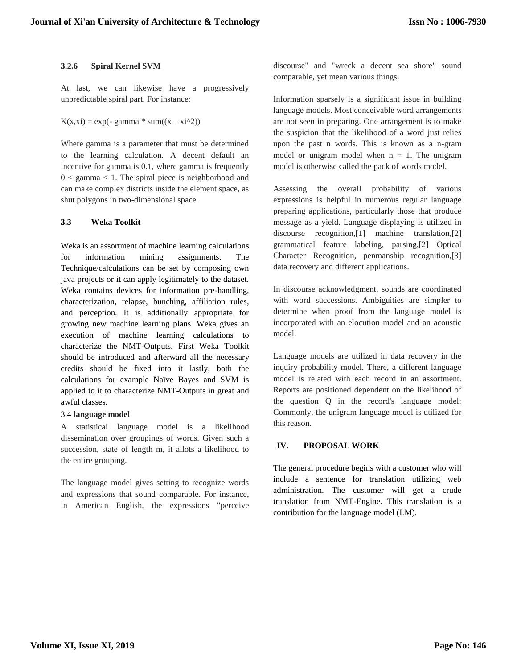#### **3.2.6 Spiral Kernel SVM**

At last, we can likewise have a progressively unpredictable spiral part. For instance:

 $K(x, xi) = exp(- gamma * sum((x - xi^2))$ 

Where gamma is a parameter that must be determined to the learning calculation. A decent default an incentive for gamma is 0.1, where gamma is frequently  $0 <$  gamma  $< 1$ . The spiral piece is neighborhood and can make complex districts inside the element space, as shut polygons in two-dimensional space.

# **3.3 Weka Toolkit**

Weka is an assortment of machine learning calculations for information mining assignments. The Technique/calculations can be set by composing own java projects or it can apply legitimately to the dataset. Weka contains devices for information pre-handling, characterization, relapse, bunching, affiliation rules, and perception. It is additionally appropriate for growing new machine learning plans. Weka gives an execution of machine learning calculations to characterize the NMT-Outputs. First Weka Toolkit should be introduced and afterward all the necessary credits should be fixed into it lastly, both the calculations for example Naïve Bayes and SVM is applied to it to characterize NMT-Outputs in great and awful classes.

# 3.4 **language model**

A statistical language model is a likelihood dissemination over groupings of words. Given such a succession, state of length m, it allots a likelihood to the entire grouping.

The language model gives setting to recognize words and expressions that sound comparable. For instance, in American English, the expressions "perceive discourse" and "wreck a decent sea shore" sound comparable, yet mean various things.

Information sparsely is a significant issue in building language models. Most conceivable word arrangements are not seen in preparing. One arrangement is to make the suspicion that the likelihood of a word just relies upon the past n words. This is known as a n-gram model or unigram model when  $n = 1$ . The unigram model is otherwise called the pack of words model.

Assessing the overall probability of various expressions is helpful in numerous regular language preparing applications, particularly those that produce message as a yield. Language displaying is utilized in discourse recognition,[1] machine translation,[2] grammatical feature labeling, parsing,[2] Optical Character Recognition, penmanship recognition,[3] data recovery and different applications.

In discourse acknowledgment, sounds are coordinated with word successions. Ambiguities are simpler to determine when proof from the language model is incorporated with an elocution model and an acoustic model.

Language models are utilized in data recovery in the inquiry probability model. There, a different language model is related with each record in an assortment. Reports are positioned dependent on the likelihood of the question Q in the record's language model: Commonly, the unigram language model is utilized for this reason.

# **IV. PROPOSAL WORK**

The general procedure begins with a customer who will include a sentence for translation utilizing web administration. The customer will get a crude translation from NMT-Engine. This translation is a contribution for the language model (LM).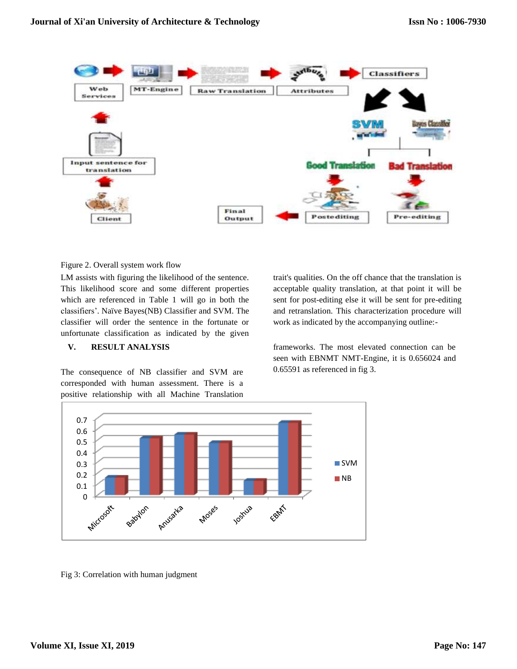

Figure 2. Overall system work flow

LM assists with figuring the likelihood of the sentence. This likelihood score and some different properties which are referenced in Table 1 will go in both the classifiers'. Naïve Bayes(NB) Classifier and SVM. The classifier will order the sentence in the fortunate or unfortunate classification as indicated by the given

# **V. RESULT ANALYSIS**

The consequence of NB classifier and SVM are corresponded with human assessment. There is a positive relationship with all Machine Translation

trait's qualities. On the off chance that the translation is acceptable quality translation, at that point it will be sent for post-editing else it will be sent for pre-editing and retranslation. This characterization procedure will work as indicated by the accompanying outline:-

frameworks. The most elevated connection can be seen with EBNMT NMT-Engine, it is 0.656024 and 0.65591 as referenced in fig 3.



Fig 3: Correlation with human judgment